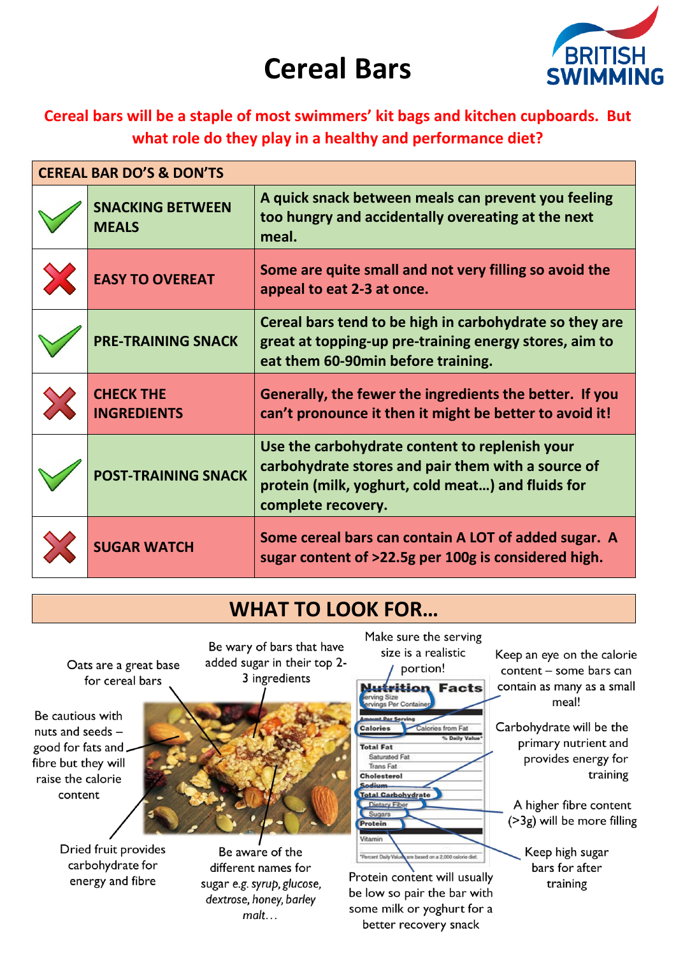# **Cereal Bars**



#### Cereal bars will be a staple of most swimmers' kit bags and kitchen cupboards. But what role do they play in a healthy and performance diet?

| <b>CEREAL BAR DO'S &amp; DON'TS</b> |                                         |                                                                                                                                                                                 |  |
|-------------------------------------|-----------------------------------------|---------------------------------------------------------------------------------------------------------------------------------------------------------------------------------|--|
|                                     | <b>SNACKING BETWEEN</b><br><b>MEALS</b> | A quick snack between meals can prevent you feeling<br>too hungry and accidentally overeating at the next<br>meal.                                                              |  |
|                                     | <b>EASY TO OVEREAT</b>                  | Some are quite small and not very filling so avoid the<br>appeal to eat 2-3 at once.                                                                                            |  |
|                                     | <b>PRE-TRAINING SNACK</b>               | Cereal bars tend to be high in carbohydrate so they are<br>great at topping-up pre-training energy stores, aim to<br>eat them 60-90min before training.                         |  |
|                                     | <b>CHECK THE</b><br><b>INGREDIENTS</b>  | Generally, the fewer the ingredients the better. If you<br>can't pronounce it then it might be better to avoid it!                                                              |  |
|                                     | <b>POST-TRAINING SNACK</b>              | Use the carbohydrate content to replenish your<br>carbohydrate stores and pair them with a source of<br>protein (milk, yoghurt, cold meat) and fluids for<br>complete recovery. |  |
|                                     | <b>SUGAR WATCH</b>                      | Some cereal bars can contain A LOT of added sugar. A<br>sugar content of >22.5g per 100g is considered high.                                                                    |  |

### **WHAT TO LOOK FOR...**

Oats are a great base for cereal bars

Be cautious with nuts and seeds good for fats and. fibre but they will raise the calorie content

> Dried fruit provides carbohydrate for energy and fibre

Be wary of bars that have added sugar in their top 2-3 ingredients



Be aware of the different names for sugar e.g. syrup, glucose, dextrose, honey, barley  $m$ alt...



Protein content will usually be low so pair the bar with some milk or yoghurt for a better recovery snack

Keep an eye on the calorie content - some bars can contain as many as a small meal!

Carbohydrate will be the primary nutrient and provides energy for training

A higher fibre content (>3g) will be more filling

> Keep high sugar bars for after training